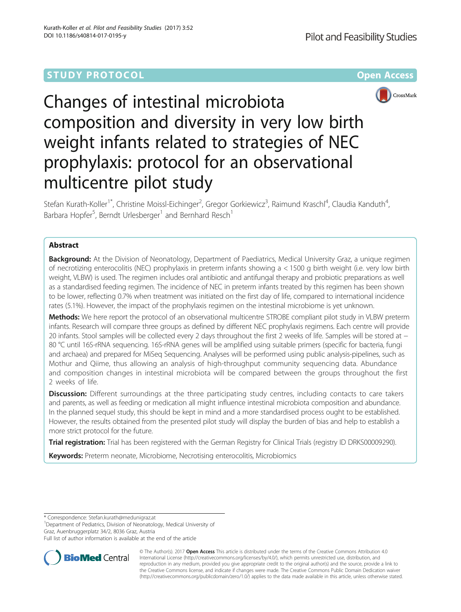# **STUDY PROTOCOL CONSUMING THE RESERVE ACCESS**



Changes of intestinal microbiota composition and diversity in very low birth weight infants related to strategies of NEC prophylaxis: protocol for an observational multicentre pilot study

Stefan Kurath-Koller<sup>1\*</sup>, Christine Moissl-Eichinger<sup>2</sup>, Gregor Gorkiewicz<sup>3</sup>, Raimund Kraschl<sup>4</sup>, Claudia Kanduth<sup>4</sup> , Barbara Hopfer<sup>5</sup>, Berndt Urlesberger<sup>1</sup> and Bernhard Resch<sup>1</sup>

## Abstract

**Background:** At the Division of Neonatology, Department of Paediatrics, Medical University Graz, a unique regimen of necrotizing enterocolitis (NEC) prophylaxis in preterm infants showing a < 1500 g birth weight (i.e. very low birth weight, VLBW) is used. The regimen includes oral antibiotic and antifungal therapy and probiotic preparations as well as a standardised feeding regimen. The incidence of NEC in preterm infants treated by this regimen has been shown to be lower, reflecting 0.7% when treatment was initiated on the first day of life, compared to international incidence rates (5.1%). However, the impact of the prophylaxis regimen on the intestinal microbiome is yet unknown.

Methods: We here report the protocol of an observational multicentre STROBE compliant pilot study in VLBW preterm infants. Research will compare three groups as defined by different NEC prophylaxis regimens. Each centre will provide 20 infants. Stool samples will be collected every 2 days throughout the first 2 weeks of life. Samples will be stored at − 80 °C until 16S-rRNA sequencing. 16S-rRNA genes will be amplified using suitable primers (specific for bacteria, fungi and archaea) and prepared for MiSeq Sequencing. Analyses will be performed using public analysis-pipelines, such as Mothur and Qiime, thus allowing an analysis of high-throughput community sequencing data. Abundance and composition changes in intestinal microbiota will be compared between the groups throughout the first 2 weeks of life.

**Discussion:** Different surroundings at the three participating study centres, including contacts to care takers and parents, as well as feeding or medication all might influence intestinal microbiota composition and abundance. In the planned sequel study, this should be kept in mind and a more standardised process ought to be established. However, the results obtained from the presented pilot study will display the burden of bias and help to establish a more strict protocol for the future.

Trial registration: Trial has been registered with the German Registry for Clinical Trials (registry ID [DRKS00009290](https://www.drks.de/drks_web/navigate.do?navigationId=trial.HTML&TRIAL_ID=DRKS00009290)).

Keywords: Preterm neonate, Microbiome, Necrotising enterocolitis, Microbiomics

\* Correspondence: [Stefan.kurath@medunigraz.at](mailto:Stefan.kurath@medunigraz.at) <sup>1</sup>

<sup>1</sup>Department of Pediatrics, Division of Neonatology, Medical University of Graz, Auenbruggerplatz 34/2, 8036 Graz, Austria

Full list of author information is available at the end of the article



© The Author(s). 2017 **Open Access** This article is distributed under the terms of the Creative Commons Attribution 4.0 International License [\(http://creativecommons.org/licenses/by/4.0/](http://creativecommons.org/licenses/by/4.0/)), which permits unrestricted use, distribution, and reproduction in any medium, provided you give appropriate credit to the original author(s) and the source, provide a link to the Creative Commons license, and indicate if changes were made. The Creative Commons Public Domain Dedication waiver [\(http://creativecommons.org/publicdomain/zero/1.0/](http://creativecommons.org/publicdomain/zero/1.0/)) applies to the data made available in this article, unless otherwise stated.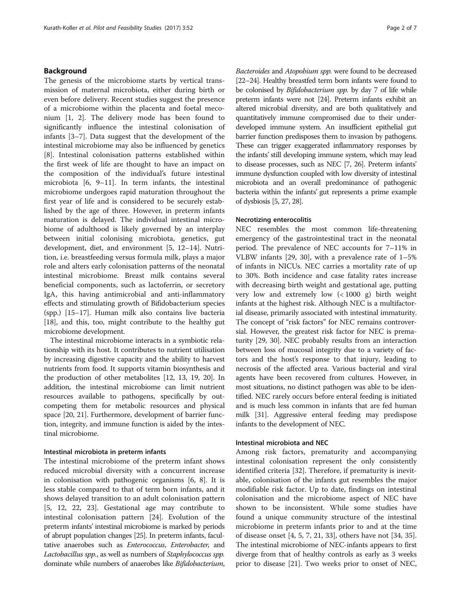## Background

The genesis of the microbiome starts by vertical transmission of maternal microbiota, either during birth or even before delivery. Recent studies suggest the presence of a microbiome within the placenta and foetal meconium [[1](#page-5-0), [2\]](#page-5-0). The delivery mode has been found to significantly influence the intestinal colonisation of infants [\[3](#page-5-0)–[7](#page-5-0)]. Data suggest that the development of the intestinal microbiome may also be influenced by genetics [[8\]](#page-5-0). Intestinal colonisation patterns established within the first week of life are thought to have an impact on the composition of the individual's future intestinal microbiota [[6](#page-5-0), [9](#page-5-0)–[11\]](#page-5-0). In term infants, the intestinal microbiome undergoes rapid maturation throughout the first year of life and is considered to be securely established by the age of three. However, in preterm infants maturation is delayed. The individual intestinal microbiome of adulthood is likely governed by an interplay between initial colonising microbiota, genetics, gut development, diet, and environment [[5, 12](#page-5-0)–[14\]](#page-5-0). Nutrition, i.e. breastfeeding versus formula milk, plays a major role and alters early colonisation patterns of the neonatal intestinal microbiome. Breast milk contains several beneficial components, such as lactoferrin, or secretory IgA, this having antimicrobial and anti-inflammatory effects and stimulating growth of Bifidobacterium species (spp.) [\[15](#page-5-0)–[17](#page-6-0)]. Human milk also contains live bacteria [[18](#page-6-0)], and this, too, might contribute to the healthy gut microbiome development.

The intestinal microbiome interacts in a symbiotic relationship with its host. It contributes to nutrient utilisation by increasing digestive capacity and the ability to harvest nutrients from food. It supports vitamin biosynthesis and the production of other metabolites [\[12, 13,](#page-5-0) [19](#page-6-0), [20](#page-6-0)]. In addition, the intestinal microbiome can limit nutrient resources available to pathogens, specifically by outcompeting them for metabolic resources and physical space [[20](#page-6-0), [21](#page-6-0)]. Furthermore, development of barrier function, integrity, and immune function is aided by the intestinal microbiome.

## Intestinal microbiota in preterm infants

The intestinal microbiome of the preterm infant shows reduced microbial diversity with a concurrent increase in colonisation with pathogenic organisms [[6, 8\]](#page-5-0). It is less stable compared to that of term born infants, and it shows delayed transition to an adult colonisation pattern [[5, 12,](#page-5-0) [22, 23](#page-6-0)]. Gestational age may contribute to intestinal colonisation pattern [[24\]](#page-6-0). Evolution of the preterm infants' intestinal microbiome is marked by periods of abrupt population changes [\[25](#page-6-0)]. In preterm infants, facultative anaerobes such as Enterococcus, Enterobacter, and Lactobacillus spp., as well as numbers of Staphylococcus spp. dominate while numbers of anaerobes like Bifidobacterium, Bacteroides and Atopobium spp. were found to be decreased [[22](#page-6-0)–[24\]](#page-6-0). Healthy breastfed term born infants were found to be colonised by Bifidobacterium spp. by day 7 of life while preterm infants were not [[24\]](#page-6-0). Preterm infants exhibit an altered microbial diversity, and are both qualitatively and quantitatively immune compromised due to their underdeveloped immune system. An insufficient epithelial gut barrier function predisposes them to invasion by pathogens. These can trigger exaggerated inflammatory responses by the infants' still developing immune system, which may lead to disease processes, such as NEC [[7](#page-5-0), [26](#page-6-0)]. Preterm infants' immune dysfunction coupled with low diversity of intestinal microbiota and an overall predominance of pathogenic bacteria within the infants' gut represents a prime example of dysbiosis [\[5](#page-5-0), [27, 28\]](#page-6-0).

## Necrotizing enterocolitis

NEC resembles the most common life-threatening emergency of the gastrointestinal tract in the neonatal period. The prevalence of NEC accounts for 7–11% in VLBW infants [[29](#page-6-0), [30](#page-6-0)], with a prevalence rate of 1–5% of infants in NICUs. NEC carries a mortality rate of up to 30%. Both incidence and case fatality rates increase with decreasing birth weight and gestational age, putting very low and extremely low (< 1000 g) birth weight infants at the highest risk. Although NEC is a multifactorial disease, primarily associated with intestinal immaturity. The concept of "risk factors" for NEC remains controversial. However, the greatest risk factor for NEC is prematurity [\[29, 30](#page-6-0)]. NEC probably results from an interaction between loss of mucosal integrity due to a variety of factors and the host's response to that injury, leading to necrosis of the affected area. Various bacterial and viral agents have been recovered from cultures. However, in most situations, no distinct pathogen was able to be identified. NEC rarely occurs before enteral feeding is initiated and is much less common in infants that are fed human milk [\[31](#page-6-0)]. Aggressive enteral feeding may predispose infants to the development of NEC.

## Intestinal microbiota and NEC

Among risk factors, prematurity and accompanying intestinal colonisation represent the only consistently identified criteria [[32\]](#page-6-0). Therefore, if prematurity is inevitable, colonisation of the infants gut resembles the major modifiable risk factor. Up to date, findings on intestinal colonisation and the microbiome aspect of NEC have shown to be inconsistent. While some studies have found a unique community structure of the intestinal microbiome in preterm infants prior to and at the time of disease onset [\[4](#page-5-0), [5](#page-5-0), [7](#page-5-0), [21](#page-6-0), [33](#page-6-0)], others have not [\[34](#page-6-0), [35](#page-6-0)]. The intestinal microbiome of NEC-infants appears to first diverge from that of healthy controls as early as 3 weeks prior to disease [\[21](#page-6-0)]. Two weeks prior to onset of NEC,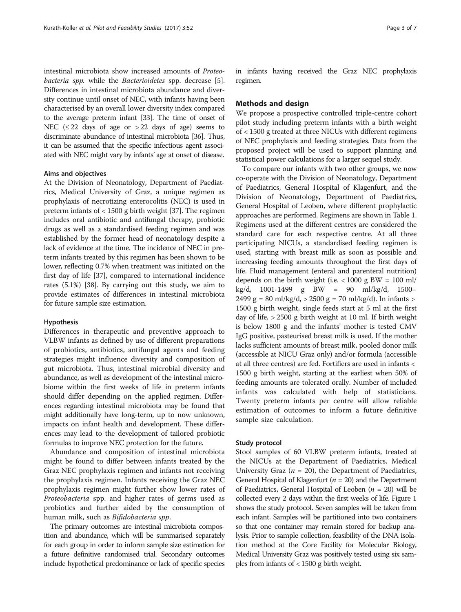intestinal microbiota show increased amounts of Proteobacteria spp. while the Bacterioidetes spp. decrease [[5](#page-5-0)]. Differences in intestinal microbiota abundance and diversity continue until onset of NEC, with infants having been characterised by an overall lower diversity index compared to the average preterm infant [[33\]](#page-6-0). The time of onset of NEC ( $\leq$  22 days of age or  $>$  22 days of age) seems to discriminate abundance of intestinal microbiota [[36\]](#page-6-0). Thus, it can be assumed that the specific infectious agent associated with NEC might vary by infants' age at onset of disease.

## Aims and objectives

At the Division of Neonatology, Department of Paediatrics, Medical University of Graz, a unique regimen as prophylaxis of necrotizing enterocolitis (NEC) is used in preterm infants of < 1500 g birth weight [[37\]](#page-6-0). The regimen includes oral antibiotic and antifungal therapy, probiotic drugs as well as a standardised feeding regimen and was established by the former head of neonatology despite a lack of evidence at the time. The incidence of NEC in preterm infants treated by this regimen has been shown to be lower, reflecting 0.7% when treatment was initiated on the first day of life [[37](#page-6-0)], compared to international incidence rates (5.1%) [\[38\]](#page-6-0). By carrying out this study, we aim to provide estimates of differences in intestinal microbiota for future sample size estimation.

## Hypothesis

Differences in therapeutic and preventive approach to VLBW infants as defined by use of different preparations of probiotics, antibiotics, antifungal agents and feeding strategies might influence diversity and composition of gut microbiota. Thus, intestinal microbial diversity and abundance, as well as development of the intestinal microbiome within the first weeks of life in preterm infants should differ depending on the applied regimen. Differences regarding intestinal microbiota may be found that might additionally have long-term, up to now unknown, impacts on infant health and development. These differences may lead to the development of tailored probiotic formulas to improve NEC protection for the future.

Abundance and composition of intestinal microbiota might be found to differ between infants treated by the Graz NEC prophylaxis regimen and infants not receiving the prophylaxis regimen. Infants receiving the Graz NEC prophylaxis regimen might further show lower rates of Proteobacteria spp. and higher rates of germs used as probiotics and further aided by the consumption of human milk, such as Bifidobacteria spp.

The primary outcomes are intestinal microbiota composition and abundance, which will be summarised separately for each group in order to inform sample size estimation for a future definitive randomised trial. Secondary outcomes include hypothetical predominance or lack of specific species

in infants having received the Graz NEC prophylaxis regimen.

## Methods and design

We propose a prospective controlled triple-centre cohort pilot study including preterm infants with a birth weight of < 1500 g treated at three NICUs with different regimens of NEC prophylaxis and feeding strategies. Data from the proposed project will be used to support planning and statistical power calculations for a larger sequel study.

To compare our infants with two other groups, we now co-operate with the Division of Neonatology, Department of Paediatrics, General Hospital of Klagenfurt, and the Division of Neonatology, Department of Paediatrics, General Hospital of Leoben, where different prophylactic approaches are performed. Regimens are shown in Table [1](#page-3-0). Regimens used at the different centres are considered the standard care for each respective centre. At all three participating NICUs, a standardised feeding regimen is used, starting with breast milk as soon as possible and increasing feeding amounts throughout the first days of life. Fluid management (enteral and parenteral nutrition) depends on the birth weight (i.e.  $< 1000 \text{ g BW} = 100 \text{ ml}$ ) kg/d, 1001-1499 g BW = 90 ml/kg/d, 1500– 2499 g = 80 ml/kg/d,  $> 2500$  g = 70 ml/kg/d). In infants  $>$ 1500 g birth weight, single feeds start at 5 ml at the first day of life, > 2500 g birth weight at 10 ml. If birth weight is below 1800 g and the infants' mother is tested CMV IgG positive, pasteurised breast milk is used. If the mother lacks sufficient amounts of breast milk, pooled donor milk (accessible at NICU Graz only) and/or formula (accessible at all three centres) are fed. Fortifiers are used in infants < 1500 g birth weight, starting at the earliest when 50% of feeding amounts are tolerated orally. Number of included infants was calculated with help of statisticians. Twenty preterm infants per centre will allow reliable estimation of outcomes to inform a future definitive sample size calculation.

## Study protocol

Stool samples of 60 VLBW preterm infants, treated at the NICUs at the Department of Paediatrics, Medical University Graz ( $n = 20$ ), the Department of Paediatrics, General Hospital of Klagenfurt ( $n = 20$ ) and the Department of Paediatrics, General Hospital of Leoben ( $n = 20$ ) will be collected every 2 days within the first weeks of life. Figure [1](#page-3-0) shows the study protocol. Seven samples will be taken from each infant. Samples will be partitioned into two containers so that one container may remain stored for backup analysis. Prior to sample collection, feasibility of the DNA isolation method at the Core Facility for Molecular Biology, Medical University Graz was positively tested using six samples from infants of < 1500 g birth weight.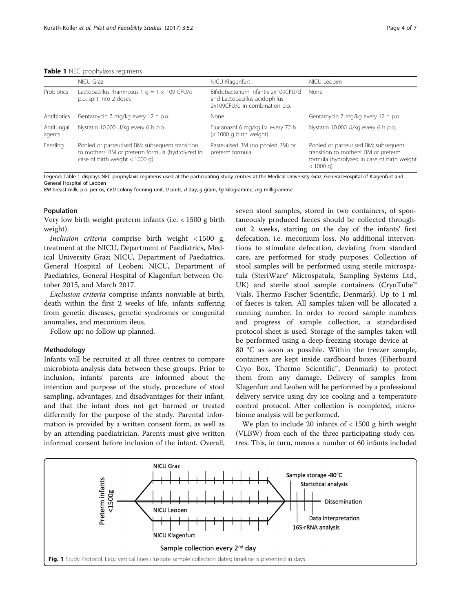<span id="page-3-0"></span>Table 1 NEC prophylaxis regimens

|                      | NICU Graz                                                                                                                               | NICU Klagenfurt                                                                                        | NICU Leoben                                                                                                                                |
|----------------------|-----------------------------------------------------------------------------------------------------------------------------------------|--------------------------------------------------------------------------------------------------------|--------------------------------------------------------------------------------------------------------------------------------------------|
| Probiotics           | Lactobacillus rhamnosus 1 $q = 1 \times 109$ CFU/d<br>p.o. split into 2 doses                                                           | Bifidobacterium infantis 2x109CFU/d<br>and Lactobacillus acidophilus<br>2x109CFU/d in combination p.o. | None                                                                                                                                       |
| Antibiotics          | Gentamycin 7 mg/kg every 12 h p.o.                                                                                                      | None                                                                                                   | Gentamycin 7 mg/kg every 12 h p.o.                                                                                                         |
| Antifungal<br>agents | Nystatin 10.000 U/kg every 6 h p.o.                                                                                                     | Fluconazol 6 mg/kg i.v. every 72 h<br>$(< 1000$ g birth weight)                                        | Nystatin 10.000 U/kg every 6 h p.o.                                                                                                        |
| Feeding              | Pooled or pasteurised BM; subsequent transition<br>to mothers' BM or preterm formula (hydrolyzed in<br>case of birth weight $<$ 1000 g) | Pasteurised BM (no pooled BM) or<br>preterm formula                                                    | Pooled or pasteurised BM; subsequent<br>transition to mothers' BM or preterm<br>formula (hydrolyzed in case of birth weight<br>$< 1000$ g) |

Legend: Table 1 displays NEC prophylaxis regimens used at the participating study centres at the Medical University Graz, General Hospital of Klagenfurt and General Hospital of Leoben

BM breast milk, p.o. per os, CFU colony forming unit, U units, d day, g gram, kg kilogramme, mg milligramme

## Population

Very low birth weight preterm infants (i.e. < 1500 g birth weight).

Inclusion criteria comprise birth weight < 1500 g, treatment at the NICU, Department of Paediatrics, Medical University Graz; NICU, Department of Paediatrics, General Hospital of Leoben; NICU, Department of Paediatrics, General Hospital of Klagenfurt between October 2015, and March 2017.

Exclusion criteria comprise infants nonviable at birth, death within the first 2 weeks of life, infants suffering from genetic diseases, genetic syndromes or congenital anomalies, and meconium ileus.

Follow up: no follow up planned.

## Methodology

Infants will be recruited at all three centres to compare microbiota-analysis data between these groups. Prior to inclusion, infants' parents are informed about the intention and purpose of the study, procedure of stool sampling, advantages, and disadvantages for their infant, and that the infant does not get harmed or treated differently for the purpose of the study. Parental information is provided by a written consent form, as well as by an attending paediatrician. Parents must give written informed consent before inclusion of the infant. Overall, seven stool samples, stored in two containers, of spontaneously produced faeces should be collected throughout 2 weeks, starting on the day of the infants' first defecation, i.e. meconium loss. No additional interventions to stimulate defecation, deviating from standard care, are performed for study purposes. Collection of stool samples will be performed using sterile microspatula (SteriWare® Microspatula, Sampling Systems Ltd., UK) and sterile stool sample containers (CryoTube™ Vials, Thermo Fischer Scientific, Denmark). Up to 1 ml of faeces is taken. All samples taken will be allocated a running number. In order to record sample numbers and progress of sample collection, a standardised protocol-sheet is used. Storage of the samples taken will be performed using a deep-freezing storage device at − 80 °C as soon as possible. Within the freezer sample, containers are kept inside cardboard boxes (Fiberboard Cryo Box, Thermo Scientific™, Denmark) to protect them from any damage. Delivery of samples from Klagenfurt and Leoben will be performed by a professional delivery service using dry ice cooling and a temperature control protocol. After collection is completed, microbiome analysis will be performed.

We plan to include 20 infants of < 1500 g birth weight (VLBW) from each of the three participating study centres. This, in turn, means a number of 60 infants included

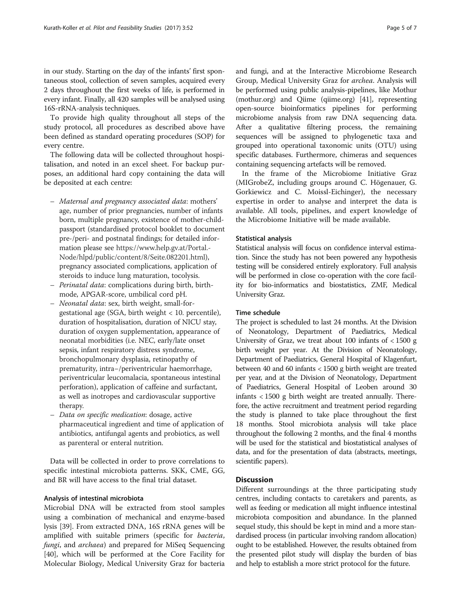in our study. Starting on the day of the infants' first spontaneous stool, collection of seven samples, acquired every 2 days throughout the first weeks of life, is performed in every infant. Finally, all 420 samples will be analysed using 16S-rRNA-analysis techniques.

To provide high quality throughout all steps of the study protocol, all procedures as described above have been defined as standard operating procedures (SOP) for every centre.

The following data will be collected throughout hospitalisation, and noted in an excel sheet. For backup purposes, an additional hard copy containing the data will be deposited at each centre:

- Maternal and pregnancy associated data: mothers' age, number of prior pregnancies, number of infants born, multiple pregnancy, existence of mother-childpassport (standardised protocol booklet to document pre-/peri- and postnatal findings; for detailed information please see [https://www.help.gv.at/Portal.-](https://www.help.gv.at/Portal.Node/hlpd/public/content/8/Seite.082201.html) [Node/hlpd/public/content/8/Seite.082201.html](https://www.help.gv.at/Portal.Node/hlpd/public/content/8/Seite.082201.html)), pregnancy associated complications, application of steroids to induce lung maturation, tocolysis.
- Perinatal data: complications during birth, birthmode, APGAR-score, umbilical cord pH.
- Neonatal data: sex, birth weight, small-forgestational age (SGA, birth weight < 10. percentile), duration of hospitalisation, duration of NICU stay, duration of oxygen supplementation, appearance of neonatal morbidities (i.e. NEC, early/late onset sepsis, infant respiratory distress syndrome, bronchopulmonary dysplasia, retinopathy of prematurity, intra−/periventricular haemorrhage, periventricular leucomalacia, spontaneous intestinal perforation), application of caffeine and surfactant, as well as inotropes and cardiovascular supportive therapy.
- Data on specific medication: dosage, active pharmaceutical ingredient and time of application of antibiotics, antifungal agents and probiotics, as well as parenteral or enteral nutrition.

Data will be collected in order to prove correlations to specific intestinal microbiota patterns. SKK, CME, GG, and BR will have access to the final trial dataset.

## Analysis of intestinal microbiota

Microbial DNA will be extracted from stool samples using a combination of mechanical and enzyme-based lysis [\[39\]](#page-6-0). From extracted DNA, 16S rRNA genes will be amplified with suitable primers (specific for *bacteria*, fungi, and archaea) and prepared for MiSeq Sequencing [[40\]](#page-6-0), which will be performed at the Core Facility for Molecular Biology, Medical University Graz for bacteria and fungi, and at the Interactive Microbiome Research Group, Medical University Graz for archea. Analysis will be performed using public analysis-pipelines, like Mothur ([mothur.org](http://mothur.org)) and Qiime ([qiime.org](http://qiime.org)) [[41](#page-6-0)], representing open-source bioinformatics pipelines for performing microbiome analysis from raw DNA sequencing data.

After a qualitative filtering process, the remaining sequences will be assigned to phylogenetic taxa and grouped into operational taxonomic units (OTU) using specific databases. Furthermore, chimeras and sequences containing sequencing artefacts will be removed.

In the frame of the Microbiome Initiative Graz (MIGrobeZ, including groups around C. Högenauer, G. Gorkiewicz and C. Moissl-Eichinger), the necessary expertise in order to analyse and interpret the data is available. All tools, pipelines, and expert knowledge of the Microbiome Initiative will be made available.

## Statistical analysis

Statistical analysis will focus on confidence interval estimation. Since the study has not been powered any hypothesis testing will be considered entirely exploratory. Full analysis will be performed in close co-operation with the core facility for bio-informatics and biostatistics, ZMF, Medical University Graz.

## Time schedule

The project is scheduled to last 24 months. At the Division of Neonatology, Department of Paediatrics, Medical University of Graz, we treat about 100 infants of < 1500 g birth weight per year. At the Division of Neonatology, Department of Paediatrics, General Hospital of Klagenfurt, between 40 and 60 infants < 1500 g birth weight are treated per year, and at the Division of Neonatology, Department of Paediatrics, General Hospital of Leoben around 30 infants < 1500 g birth weight are treated annually. Therefore, the active recruitment and treatment period regarding the study is planned to take place throughout the first 18 months. Stool microbiota analysis will take place throughout the following 2 months, and the final 4 months will be used for the statistical and biostatistical analyses of data, and for the presentation of data (abstracts, meetings, scientific papers).

## **Discussion**

Different surroundings at the three participating study centres, including contacts to caretakers and parents, as well as feeding or medication all might influence intestinal microbiota composition and abundance. In the planned sequel study, this should be kept in mind and a more standardised process (in particular involving random allocation) ought to be established. However, the results obtained from the presented pilot study will display the burden of bias and help to establish a more strict protocol for the future.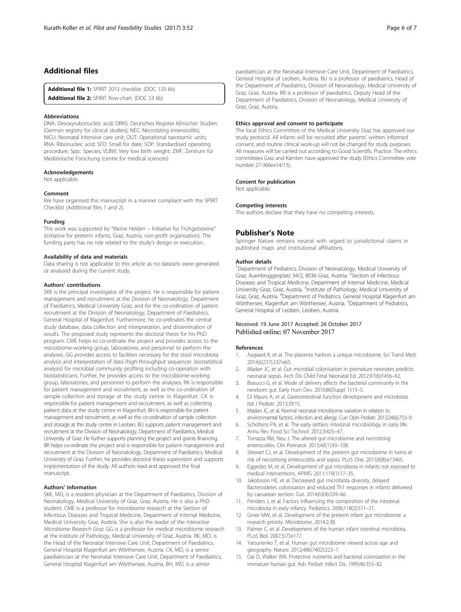## <span id="page-5-0"></span>Additional files

[Additional file 1:](dx.doi.org/10.1186/s40814-017-0195-y) SPIRIT 2013 checklist. (DOC 120 kb) [Additional file 2:](dx.doi.org/10.1186/s40814-017-0195-y) SPIRIT flow-chart. (DOC 53 kb)

#### **Abbreviations**

DNA: Desoxyrubonucleic acid; DRKS: Deutsches Register Klinischer Studien (German registry for clinical studies); NEC: Necrotizing enterocolitis; NICU: Neonatal intensive care unit; OUT: Operational taxonomic units; RNA: Ribonucleic acid; SFD: Small for date; SOP: Standardised operating procedure; Spp.: Species; VLBW: Very low birth weight; ZMF: Zentrum für Medizinische Forschung (centre for medical sciences)

#### Acknowledgements

Not applicable.

#### Comment

We have organised this manuscript in a manner compliant with the SPIRIT Checklist (Additional files 1 and 2).

#### Funding

This work was supported by "Kleine Helden – Initiative für Frühgeborene" (initiative for preterm infants, Graz, Austria, non-profit organisation). The funding party has no role related to the study's design or execution.

## Availability of data and materials

Data sharing is not applicable to this article as no datasets were generated or analysed during the current study.

#### Authors' contributions

SKK is the principal investigator of the project. He is responsible for patient management and recruitment at the Division of Neonatology, Department of Paediatrics, Medical University Graz, and for the co-ordination of patient recruitment at the Division of Neonatology, Department of Paediatrics, General Hospital of Klagenfurt. Furthermore, he co-ordinates the central study database, data collection and interpretation, and dissemination of results. The proposed study represents the doctoral thesis for his PhD program. CME helps to co-ordinate the project and provides access to the microbiome-working group, laboratories, and personnel to perform the analyses. GG provides access to facilities necessary for the stool microbiota analysis and interpretation of data (high-throughput sequencer, biostatistical analysis) for microbial community profiling including co-operation with biostatisticians. Further, he provides access to the microbiome-working group, laboratories, and personnel to perform the analyses. RK is responsible for patient management and recruitment, as well as the co-ordination of sample collection and storage at the study centre in Klagenfurt. CK is responsible for patient management and recruitment, as well as collecting patient data at the study centre in Klagenfurt. BH is responsible for patient management and recruitment, as well as the co-ordination of sample collection and storage at the study centre in Leoben. BU supports patient management and recruitment at the Division of Neonatology, Department of Paediatrics, Medical University of Graz. He further supports planning the project and grants financing. BR helps co-ordinate the project and is responsible for patient management and recruitment at the Division of Neonatology, Department of Paediatrics, Medical University of Graz. Further, he provides doctoral thesis supervision and supports implementation of the study. All authors read and approved the final manuscript.

#### Authors' information

SKK, MD, is a resident physician at the Department of Paediatrics, Division of Neonatology, Medical University of Graz, Graz, Austria. He is also a PhD student. CME is a professor for microbiome research at the Section of Infectious Diseases and Tropical Medicine, Department of Internal Medicine, Medical University Graz, Austria. She is also the leader of the Interactive Microbiome Research Graz. GG is a professor for medical microbiome research at the Institute of Pathology, Medical University of Graz, Austria. RK, MD, is the Head of the Neonatal Intensive Care Unit, Department of Paediatrics, General Hospital Klagenfurt am Wörthersee, Austria. CK, MD, is a senior paediatrician at the Neonatal Intensive Care Unit, Department of Paediatrics, General Hospital Klagenfurt am Wörthersee, Austria. BH, MD, is a senior

paediatrician at the Neonatal Intensive Care Unit, Department of Paediatrics, General Hospital of Leoben, Austria. BU is a professor of paediatrics, Head of the Department of Paediatrics, Division of Neonatology, Medical University of Graz, Graz, Austria. BR is a professor of paediatrics, Deputy Head of the Department of Paediatrics, Division of Neonatology, Medical University of Graz, Graz, Austria.

#### Ethics approval and consent to participate

The local Ethics Committee of the Medical University Graz has approved our study protocol. All infants will be recruited after parents' written informed consent, and routine clinical work-up will not be changed for study purposes. All measures will be carried out according to Good Scientific Practice. The ethics committees Graz and Kärnten have approved the study (Ethics Committee vote number 27-366ex14/15).

## Consent for publication

Not applicable.

## Competing interests

The authors declare that they have no competing interests.

## Publisher's Note

Springer Nature remains neutral with regard to jurisdictional claims in published maps and institutional affiliations.

#### Author details

<sup>1</sup>Department of Pediatrics, Division of Neonatology, Medical University of Graz, Auenbruggerplatz 34/2, 8036 Graz, Austria. <sup>2</sup>Section of Infectious Diseases and Tropical Medicine, Department of Internal Medicine, Medical University Graz, Graz, Austria. <sup>3</sup>Institute of Pathology, Medical University of Graz, Graz, Austria. <sup>4</sup> Department of Pediatrics, General Hospital Klagenfurt am Wörthersee, Klagenfurt am Wörthersee, Austria. <sup>5</sup>Department of Pediatrics General Hospital of Leoben, Leoben, Austria.

## Received: 19 June 2017 Accepted: 26 October 2017 Published online: 07 November 2017

#### References

- 1. Aagaard K, et al. The placenta harbors a unique microbiome. Sci Transl Med. 2014;6(237):237ra65.
- 2. Madan JC, et al. Gut microbial colonisation in premature neonates predicts neonatal sepsis. Arch Dis Child Fetal Neonatal Ed. 2012;97(6):F456–62.
- 3. Biasucci G, et al. Mode of delivery affects the bacterial community in the newborn gut. Early Hum Dev. 2010;86(Suppl 1):13–5.
- 4. Di Mauro A, et al. Gastrointestinal function development and microbiota. Ital J Pediatr. 2013;39:15.
- 5. Madan JC, et al. Normal neonatal microbiome variation in relation to environmental factors, infection and allergy. Curr Opin Pediatr. 2012;24(6):753–9.
- 6. Scholtens PA, et al. The early settlers: intestinal microbiology in early life. Annu Rev Food Sci Technol. 2012;3:425–47.
- 7. Torrazza RM, Neu J. The altered gut microbiome and necrotizing enterocolitis. Clin Perinatol. 2013;40(1):93–108.
- 8. Stewart CJ, et al. Development of the preterm gut microbiome in twins at risk of necrotising enterocolitis and sepsis. PLoS One. 2013;8(8):e73465.
- 9. Eggesbo M, et al. Development of gut microbiota in infants not exposed to medical interventions. APMIS. 2011;119(1):17–35.
- 10. Jakobsson HE, et al. Decreased gut microbiota diversity, delayed Bacteroidetes colonisation and reduced Th1 responses in infants delivered by caesarean section. Gut. 2014;63(4):559–66.
- 11. Penders J, et al. Factors influencing the composition of the intestinal microbiota in early infancy. Pediatrics. 2006;118(2):511–21.
- 12. Groer MW, et al. Development of the preterm infant gut microbiome: a research priority. Microbiome. 2014;2:38.
- 13. Palmer C, et al. Development of the human infant intestinal microbiota. PLoS Biol. 2007;5(7):e177.
- 14. Yatsunenko T, et al. Human gut microbiome viewed across age and geography. Nature. 2012;486(7402):222–7.
- 15. Dai D, Walker WA. Protective nutrients and bacterial colonization in the immature human gut. Adv Pediatr Infect Dis. 1999;46:353–82.